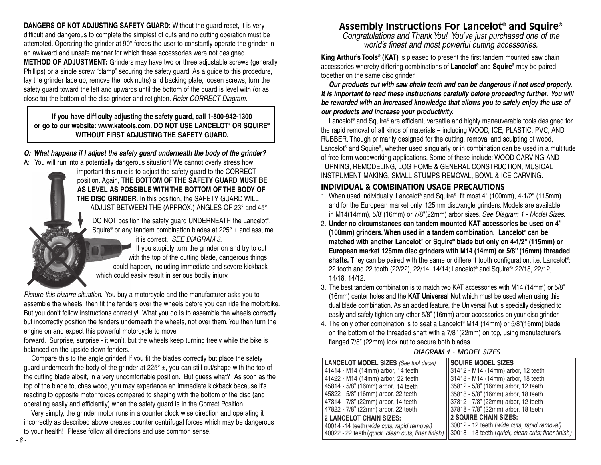**DANGERS OF NOT ADJUSTING SAFETY GUARD:** Without the guard reset, it is very difficult and dangerous to complete the simplest of cuts and no cutting operation must be attempted. Operating the grinder at 90° forces the user to constantly operate the grinder in an awkward and unsafe manner for which these accessories were not designed. **METHOD OF ADJUSTMENT:** Grinders may have two or three adjustable screws (generally Phillips) or a single screw "clamp" securing the safety guard. As a guide to this procedure, lay the grinder face up, remove the lock nut(s) and backing plate, loosen screws, turn the safety guard toward the left and upwards until the bottom of the guard is level with (or as close to) the bottom of the disc grinder and retighten. *Refer CORRECT Diagram.*

### **If you have difficulty adjusting the safety guard, call 1-800-942-1300 or go to our website: www.katools.com. DO NOT USE LANCELOT® OR SQUIRE® WITHOUT FIRST ADJUSTING THE SAFETY GUARD.**

#### *Q: What happens if I adjust the safety guard underneath the body of the grinder?*

A: You will run into a potentially dangerous situation! We cannot overly stress how

important this rule is to adjust the safety guard to the CORRECT position. Again, **THE BOTTOM OF THE SAFETY GUARD MUST BE AS LEVEL AS POSSIBLE WITH THE BOTTOM OF THE BODY OF THE DISC GRINDER.** In this position, the SAFETY GUARD WILL ADJUST BETWEEN THE (APPROX.) ANGLES OF 23° and 45°.

DO NOT position the safety guard UNDERNEATH the Lancelot® , Squire® or any tandem combination blades at  $225^\circ \pm$  and assume it is correct. *SEE DIAGRAM 3*.

If you stupidly turn the grinder on and try to cut with the top of the cutting blade, dangerous things could happen, including immediate and severe kickback which could easily result in serious bodily injury.

*Picture this bizarre situation.* You buy a motorcycle and the manufacturer asks you to assemble the wheels, then fit the fenders over the wheels before you can ride the motorbike. But you don't follow instructions correctly! What you do is to assemble the wheels correctly but incorrectly position the fenders underneath the wheels, not over them. You then turn the engine on and expect this powerful motorcycle to move

forward. Surprise, surprise - it won't, but the wheels keep turning freely while the bike is balanced on the upside down fenders.

Compare this to the angle grinder! If you fit the blades correctly but place the safety guard underneath the body of the grinder at  $225^\circ \pm$ , you can still cut/shape with the top of the cutting blade albeit, in a very uncomfortable position. But guess what? As soon as the top of the blade touches wood, you may experience an immediate kickback because it's reacting to opposite motor forces compared to shaping with the bottom of the disc (and operating easily and efficiently) when the safety guard is in the Correct Position.

Very simply, the grinder motor runs in a counter clock wise direction and operating it incorrectly as described above creates counter centrifugal forces which may be dangerous to your health! Please follow all directions and use common sense.

# **Assembly Instructions For Lancelot® and Squire®**

*Congratulations and Thank You! You've just purchased one of the world's finest and most powerful cutting accessories.*

**King Arthur's Tools® (KAT)** is pleased to present the first tandem mounted saw chain accessories whereby differing combinations of **Lancelot®** and **Squire®** may be paired together on the same disc grinder.

*Our products cut with saw chain teeth and can be dangerous if not used properly. It is important to read these instructions carefully before proceeding further. You will be rewarded with an increased knowledge that allows you to safely enjoy the use of our products and increase your productivity.*

Lancelot® and Squire® are efficient, versatile and highly maneuverable tools designed for the rapid removal of all kinds of materials – including WOOD, ICE, PLASTIC, PVC, AND RUBBER. Though primarily designed for the cutting, removal and sculpting of wood, Lancelot® and Squire®, whether used singularly or in combination can be used in a multitude of free form woodworking applications. Some of these include: WOOD CARVING AND TURNING, REMODELING, LOG HOME & GENERAL CONSTRUCTION, MUSICAL INSTRUMENT MAKING, SMALL STUMPS REMOVAL, BOWL & ICE CARVING.

# **INDIVIDUAL & COMBINATION USAGE PRECAUTIONS**

- 1. When used individually, Lancelot® and Squire® fit most 4" (100mm), 4-1/2" (115mm) and for the European market only, 125mm disc/angle grinders. Models are available in M14(14mm), 5/8"(16mm) or 7/8"(22mm) arbor sizes. *See Diagram 1 - Model Sizes.*
- 2. **Under no circumstances can tandem mounted KAT accessories be used on 4" (100mm) grinders. When used in a tandem combination, Lancelot® can be matched with another Lancelot® or Squire® blade but only on 4-1/2" (115mm) or European market 125mm disc grinders with M14 (14mm) or 5/8" (16mm) threaded**  shafts. They can be paired with the same or different tooth configuration, i.e. Lancelot<sup>®</sup>: 22 tooth and 22 tooth (22/22), 22/14, 14/14; Lancelot® and Squire® : 22/18, 22/12, 14/18, 14/12.
- 3. The best tandem combination is to match two KAT accessories with M14 (14mm) or 5/8" (16mm) center holes and the **KAT Universal Nut** which must be used when using this dual blade combination. As an added feature, the Universal Nut is specially designed to easily and safely tighten any other 5/8" (16mm) arbor accessories on your disc grinder.
- 4. The only other combination is to seat a Lancelot® M14 (14mm) or 5/8"(16mm) blade on the bottom of the threaded shaft with a 7/8" (22mm) on top, using manufacturer's flanged 7/8" (22mm) lock nut to secure both blades.

# *D AGRAM DIAGRAM 1 - MODEL SIZES*

| 2. Under no circumstances can tandem mounted KAT accessories be used on 4"<br>(100mm) grinders. When used in a tandem combination, Lancelot <sup>®</sup> can be<br>matched with another Lancelot® or Squire® blade but only on 4-1/2" (115mm) or<br>European market 125mm disc grinders with M14 (14mm) or 5/8" (16mm) threaded<br>shafts. They can be paired with the same or different tooth configuration, i.e. Lancelot <sup>®</sup> :<br>22 tooth and 22 tooth (22/22), 22/14, 14/14; Lancelot® and Squire®: 22/18, 22/12,                                                                                        |                                                                                                                                                                                                                                                                                                                                                                                                 |
|------------------------------------------------------------------------------------------------------------------------------------------------------------------------------------------------------------------------------------------------------------------------------------------------------------------------------------------------------------------------------------------------------------------------------------------------------------------------------------------------------------------------------------------------------------------------------------------------------------------------|-------------------------------------------------------------------------------------------------------------------------------------------------------------------------------------------------------------------------------------------------------------------------------------------------------------------------------------------------------------------------------------------------|
| 14/18, 14/12.<br>3. The best tandem combination is to match two KAT accessories with M14 (14mm) or 5/8"<br>(16mm) center holes and the KAT Universal Nut which must be used when using this<br>dual blade combination. As an added feature, the Universal Nut is specially designed to<br>easily and safely tighten any other 5/8" (16mm) arbor accessories on your disc grinder.<br>4. The only other combination is to seat a Lancelot® M14 (14mm) or 5/8"(16mm) blade<br>on the bottom of the threaded shaft with a 7/8" (22mm) on top, using manufacturer's<br>flanged 7/8" (22mm) lock nut to secure both blades. |                                                                                                                                                                                                                                                                                                                                                                                                 |
| <b>DIAGRAM 1 - MODEL SIZES</b>                                                                                                                                                                                                                                                                                                                                                                                                                                                                                                                                                                                         |                                                                                                                                                                                                                                                                                                                                                                                                 |
| <b>LANCELOT MODEL SIZES</b> (See tool decal)<br>41414 - M14 (14mm) arbor, 14 teeth<br>41422 - M14 (14mm) arbor, 22 teeth<br>45814 - 5/8" (16mm) arbor, 14 teeth<br>45822 - 5/8" (16mm) arbor, 22 teeth<br>47814 - 7/8" (22mm) arbor, 14 teeth<br>47822 - 7/8" (22mm) arbor, 22 teeth<br><b>2 LANCELOT CHAIN SIZES:</b><br>40014 -14 teeth (wide cuts, rapid removal)<br>40022 - 22 teeth (quick, clean cuts; finer finish)                                                                                                                                                                                             | <b>SQUIRE MODEL SIZES</b><br>31412 - M14 (14mm) arbor, 12 teeth<br>31418 - M14 (14mm) arbor, 18 teeth<br>35812 - 5/8" (16mm) arbor, 12 teeth<br>35818 - 5/8" (16mm) arbor, 18 teeth<br>37812 - 7/8" (22mm) arbor, 12 teeth<br>37818 - 7/8" (22mm) arbor, 18 teeth<br>2 SQUIRE CHAIN SIZES:<br>30012 - 12 teeth (wide cuts, rapid removal)<br>30018 - 18 teeth (quick, clean cuts; finer finish) |
|                                                                                                                                                                                                                                                                                                                                                                                                                                                                                                                                                                                                                        |                                                                                                                                                                                                                                                                                                                                                                                                 |

*- 8 -*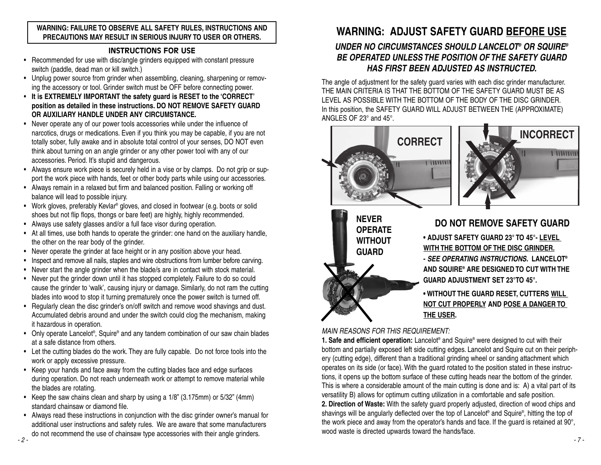#### **WARNING: FAILURE TO OBSERVE ALL SAFETY RULES, INSTRUCTIONS AND PRECAUTIONS MAY RESULT IN SERIOUS INJURY TO USER OR OTHERS.**

## **INSTRUCTIONS FOR USE**

- Recommended for use with disc/angle grinders equipped with constant pressure switch (paddle, dead man or kill switch.)
- Unplug power source from grinder when assembling, cleaning, sharpening or removing the accessory or tool. Grinder switch must be OFF before connecting power.
- **It is EXTREMELY IMPORTANT the safety guard is RESET to the 'CORRECT' position as detailed in these instructions. DO NOT REMOVE SAFETY GUARD OR AUXILIARY HANDLE UNDER ANY CIRCUMSTANCE.**
- Never operate any of our power tools accessories while under the influence of narcotics, drugs or medications. Even if you think you may be capable, if you are not totally sober, fully awake and in absolute total control of your senses, DO NOT even think about turning on an angle grinder or any other power tool with any of our accessories. Period. It's stupid and dangerous.
- Always ensure work piece is securely held in a vise or by clamps. Do not grip or support the work piece with hands, feet or other body parts while using our accessories.
- Always remain in a relaxed but firm and balanced position. Falling or working off balance will lead to possible injury.
- Work gloves, preferably Kevlar® gloves, and closed in footwear (e.g. boots or solid shoes but not flip flops, thongs or bare feet) are highly, highly recommended.
- Always use safety glasses and/or a full face visor during operation.
- At all times, use both hands to operate the grinder: one hand on the auxiliary handle, the other on the rear body of the grinder.
- Never operate the grinder at face height or in any position above your head.
- Inspect and remove all nails, staples and wire obstructions from lumber before carving.
- Never start the angle grinder when the blade/s are in contact with stock material.
- Never put the grinder down until it has stopped completely. Failure to do so could cause the grinder to 'walk', causing injury or damage. Similarly, do not ram the cutting blades into wood to stop it turning prematurely once the power switch is turned off.
- Regularly clean the disc grinder's on/off switch and remove wood shavings and dust. Accumulated debris around and under the switch could clog the mechanism, making it hazardous in operation.
- Only operate Lancelot®, Squire® and any tandem combination of our saw chain blades at a safe distance from others.
- Let the cutting blades do the work. They are fully capable. Do not force tools into the work or apply excessive pressure.
- Keep your hands and face away from the cutting blades face and edge surfaces during operation. Do not reach underneath work or attempt to remove material while the blades are rotating.
- Keep the saw chains clean and sharp by using a 1/8" (3.175mm) or 5/32" (4mm) standard chainsaw or diamond file.
- Always read these instructions in conjunction with the disc grinder owner's manual for additional user instructions and safety rules. We are aware that some manufacturers do not recommend the use of chainsaw type accessories with their angle grinders. *- 2 -*

# **WARNING: ADJUST SAFETY GUARD BEFORE USE**

# *UNDER NO CIRCUMSTANCES SHOULD LANCELOT® OR SQUIRE® BE OPERATED UNLESS THE POSITION OF THE SAFETY GUARD HAS FIRST BEEN ADJUSTED AS INSTRUCTED.*

The angle of adjustment for the safety guard varies with each disc grinder manufacturer. THE MAIN CRITERIA IS THAT THE BOTTOM OF THE SAFETY GUARD MUST BE AS LEVEL AS POSSIBLE WITH THE BOTTOM OF THE BODY OF THE DISC GRINDER. In this position, the SAFETY GUARD WILL ADJUST BETWEEN THE (APPROXIMATE) ANGLES OF 23° and 45°.





**NEVER OPERATE WITHOUT GUARD**

# **DO NOT REMOVE SAFETY GUARD**

**• ADJUST SAFETY GUARD 23° TO 45°- LEVEL WITH THE BOTTOM OF THE DISC GRINDER. -** *SEE OPERATING INSTRUCTIONS.* **LANCELOT® AND SQUIRE® ARE DESIGNED TO CUT WITH THE GUARD ADJUSTMENT SET 23°TO 45°.**

# **• WITHOUT THE GUARD RESET, CUTTERS WILL NOT CUT PROPERLY AND POSE A DANGER TO THE USER.**

*MAIN REASONS FOR THIS REQUIREMENT:*

**1. Safe and efficient operation:** Lancelot® and Squire® were designed to cut with their bottom and partially exposed left side cutting edges. Lancelot and Squire cut on their periphery (cutting edge), different than a traditional grinding wheel or sanding attachment which operates on its side (or face). With the guard rotated to the position stated in these instructions, it opens up the bottom surface of these cutting heads near the bottom of the grinder. This is where a considerable amount of the main cutting is done and is: A) a vital part of its versatility B) allows for optimum cutting utilization in a comfortable and safe position. **2. Direction of Waste:** With the safety guard properly adjusted, direction of wood chips and shavings will be angularly deflected over the top of Lancelot® and Squire® , hitting the top of

the work piece and away from the operator's hands and face. If the guard is retained at 90°, wood waste is directed upwards toward the hands/face.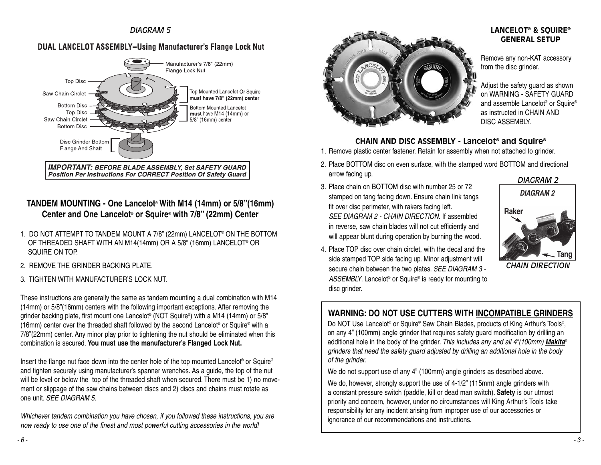#### *DIAGRAM 5*

# **DUAL LANCELOT ASSEMBLY-Using Manufacturer's Flange Lock Nut**



# **TANDEM MOUNTING - One Lancelot**® **With M14 (14mm) or 5/8"(16mm) Center and One Lancelot**® **or Squire**® **with 7/8" (22mm) Center**

- 1. DO NOT ATTEMPT TO TANDEM MOUNT A 7/8" (22mm) LANCELOT® ON THE BOTTOM OF THREADED SHAFT WITH AN M14(14mm) OR A 5/8" (16mm) LANCELOT® OR SQUIRE ON TOP.
- 2. REMOVE THE GRINDER BACKING PLATE.
- 3. TIGHTEN WITH MANUFACTURER'S LOCK NUT.

These instructions are generally the same as tandem mounting a dual combination with M14 (14mm) or 5/8"(16mm) centers with the following important exceptions. After removing the grinder backing plate, first mount one Lancelot® (NOT Squire® ) with a M14 (14mm) or 5/8" (16mm) center over the threaded shaft followed by the second Lancelot® or Squire® with a 7/8"(22mm) center. Any minor play prior to tightening the nut should be eliminated when this combination is secured. **You must use the manufacturer's Flanged Lock Nut.**

Insert the flange nut face down into the center hole of the top mounted Lancelot® or Squire® and tighten securely using manufacturer's spanner wrenches. As a guide, the top of the nut will be level or below the top of the threaded shaft when secured. There must be 1) no movement or slippage of the saw chains between discs and 2) discs and chains must rotate as one unit. *SEE DIAGRAM 5.*

*Whichever tandem combination you have chosen, if you followed these instructions, you are now ready to use one of the finest and most powerful cutting accessories in the world!* 



#### **LANCELOT® & SQUIRE® GENERAL SETUP**

Remove any non-KAT accessory from the disc grinder.

Adjust the safety guard as shown on WARNING - SAFETY GUARD and assemble Lancelot® or Squire® as instructed in CHAIN AND DISC ASSEMBLY.

#### **CHAIN AND DISC ASSEMBLY - Lancelot® and Squire®**

- 1. Remove plastic center fastener. Retain for assembly when not attached to grinder.
- 2. Place BOTTOM disc on even surface, with the stamped word BOTTOM and directional arrow facing up.
- 3. Place chain on BOTTOM disc with number 25 or 72 stamped on tang facing down. Ensure chain link tangs fit over disc perimeter, with rakers facing left. *SEE DIAGRAM 2 - CHAIN DIRECTION.* If assembled in reverse, saw chain blades will not cut efficiently and will appear blunt during operation by burning the wood.



4. Place TOP disc over chain circlet, with the decal and the side stamped TOP side facing up. Minor adjustment will secure chain between the two plates. *SEE DIAGRAM 3 - ASSEMBLY*. Lancelot® or Squire® is ready for mounting to disc grinder.

# **WARNING: DO NOT USE CUTTERS WITH INCOMPATIBLE GRINDERS**

Do NOT Use Lancelot® or Squire® Saw Chain Blades, products of King Arthur's Tools® , on any 4" (100mm) angle grinder that requires safety guard modification by drilling an additional hole in the body of the grinder. *This includes any and all 4"(100mm) Makita*® *grinders that need the safety guard adjusted by drilling an additional hole in the body of the grinder.*

We do not support use of any 4" (100mm) angle grinders as described above.

We do, however, strongly support the use of 4-1/2" (115mm) angle grinders with a constant pressure switch (paddle, kill or dead man switch). **Safety** is our utmost priority and concern, however, under no circumstances will King Arthur's Tools take responsibility for any incident arising from improper use of our accessories or ignorance of our recommendations and instructions.